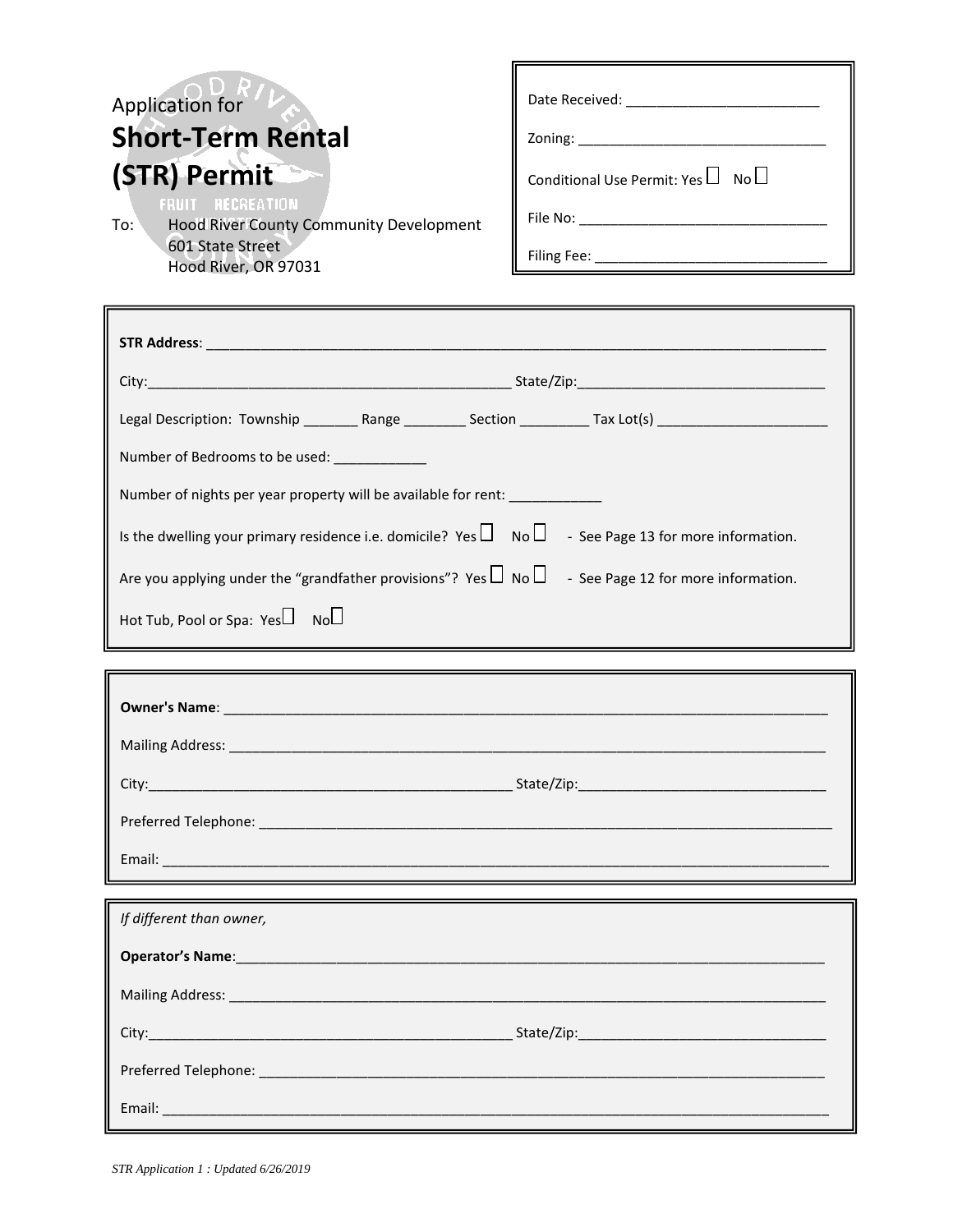| Application for<br><b>Short-Term Rental</b><br>(STR) Permit<br><b>FRUIT RECREATION</b><br>To:<br>Hood River County Community Development<br>601 State Street<br>Hood River, OR 97031                                                                              | Conditional Use Permit: Yes $\Box$ No $\Box$ |
|-------------------------------------------------------------------------------------------------------------------------------------------------------------------------------------------------------------------------------------------------------------------|----------------------------------------------|
| Legal Description: Township _________ Range ___________ Section __________ Tax Lot(s) _______________________<br>Number of Bedrooms to be used:<br>Number of nights per year property will be available for rent: ___________                                     |                                              |
| Is the dwelling your primary residence i.e. domicile? Yes $\Box$ No $\Box$ - See Page 13 for more information.<br>Are you applying under the "grandfather provisions"? Yes $\Box$ No $\Box$ - See Page 12 for more information.<br>Hot Tub, Pool or Spa: Yes Noul |                                              |

| City:                | State/Zip: |
|----------------------|------------|
| Preferred Telephone: |            |
| Email:               |            |

| If different than owner, |  |
|--------------------------|--|
| Operator's Name: 1997    |  |
|                          |  |
|                          |  |
|                          |  |
|                          |  |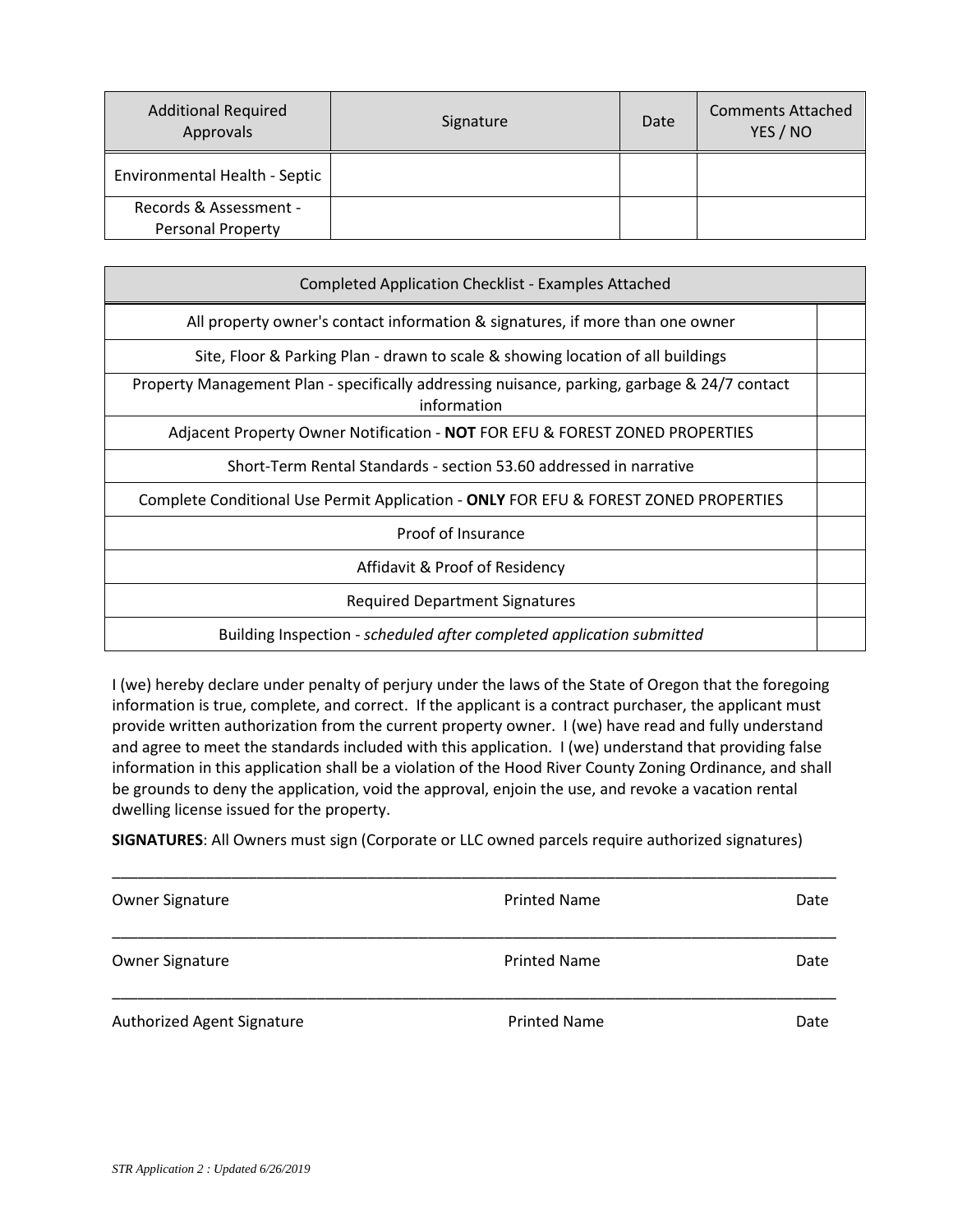| <b>Additional Required</b><br>Approvals | Signature | Date | <b>Comments Attached</b><br>YES / NO |
|-----------------------------------------|-----------|------|--------------------------------------|
| Environmental Health - Septic           |           |      |                                      |
| Records & Assessment -                  |           |      |                                      |
| <b>Personal Property</b>                |           |      |                                      |

| <b>Completed Application Checklist - Examples Attached</b>                                                  |  |
|-------------------------------------------------------------------------------------------------------------|--|
| All property owner's contact information & signatures, if more than one owner                               |  |
| Site, Floor & Parking Plan - drawn to scale & showing location of all buildings                             |  |
| Property Management Plan - specifically addressing nuisance, parking, garbage & 24/7 contact<br>information |  |
| Adjacent Property Owner Notification - NOT FOR EFU & FOREST ZONED PROPERTIES                                |  |
| Short-Term Rental Standards - section 53.60 addressed in narrative                                          |  |
| Complete Conditional Use Permit Application - ONLY FOR EFU & FOREST ZONED PROPERTIES                        |  |
| Proof of Insurance                                                                                          |  |
| Affidavit & Proof of Residency                                                                              |  |
| <b>Required Department Signatures</b>                                                                       |  |
| Building Inspection - scheduled after completed application submitted                                       |  |

I (we) hereby declare under penalty of perjury under the laws of the State of Oregon that the foregoing information is true, complete, and correct. If the applicant is a contract purchaser, the applicant must provide written authorization from the current property owner. I (we) have read and fully understand and agree to meet the standards included with this application. I (we) understand that providing false information in this application shall be a violation of the Hood River County Zoning Ordinance, and shall be grounds to deny the application, void the approval, enjoin the use, and revoke a vacation rental dwelling license issued for the property.

**SIGNATURES**: All Owners must sign (Corporate or LLC owned parcels require authorized signatures)

| <b>Owner Signature</b>     | <b>Printed Name</b> | Date |
|----------------------------|---------------------|------|
| <b>Owner Signature</b>     | <b>Printed Name</b> | Date |
| Authorized Agent Signature | <b>Printed Name</b> | Date |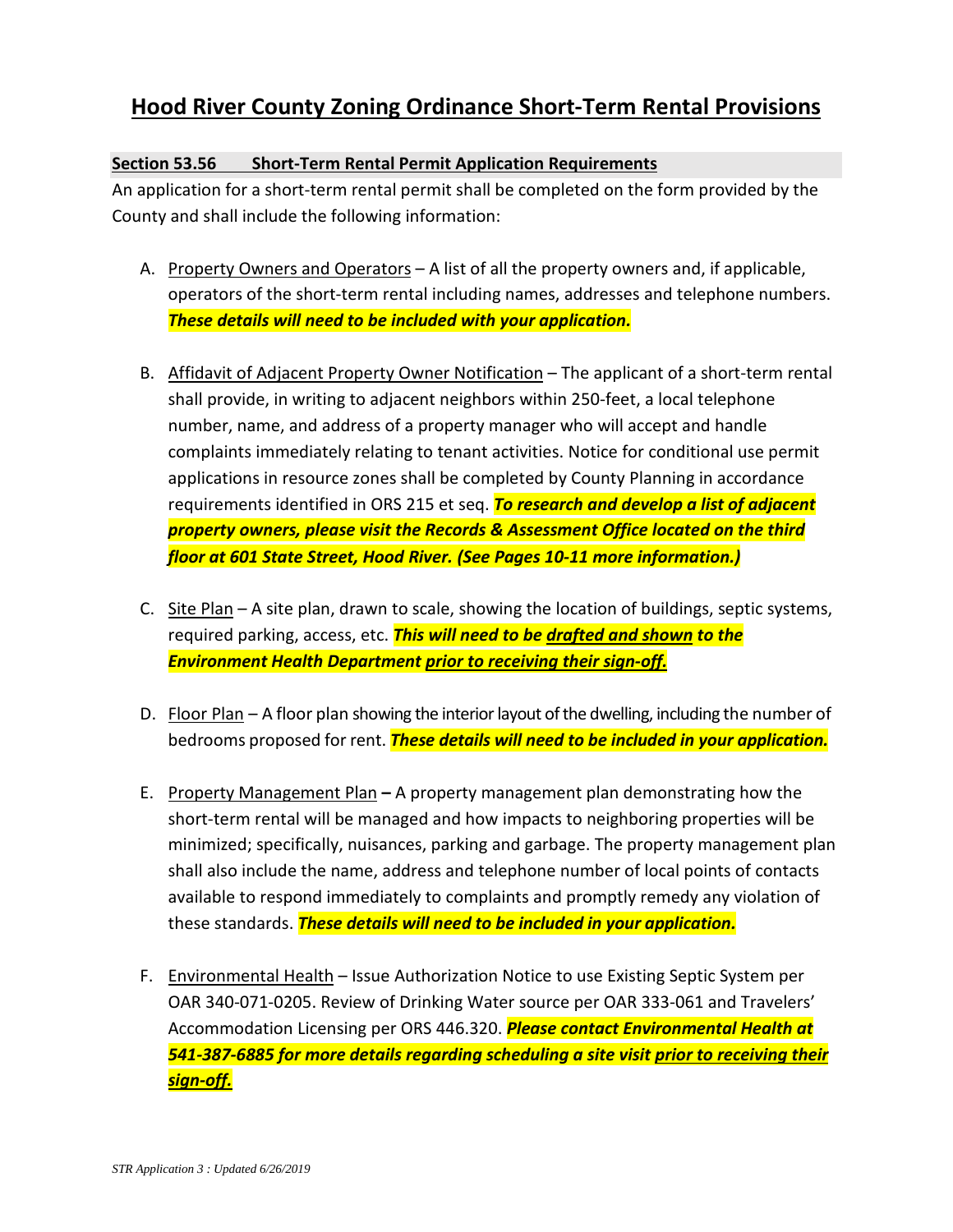### **Hood River County Zoning Ordinance Short-Term Rental Provisions**

#### **Section 53.56 Short-Term Rental Permit Application Requirements**

An application for a short-term rental permit shall be completed on the form provided by the County and shall include the following information:

- A. Property Owners and Operators A list of all the property owners and, if applicable, operators of the short-term rental including names, addresses and telephone numbers. *These details will need to be included with your application.*
- B. Affidavit of Adjacent Property Owner Notification The applicant of a short-term rental shall provide, in writing to adjacent neighbors within 250-feet, a local telephone number, name, and address of a property manager who will accept and handle complaints immediately relating to tenant activities. Notice for conditional use permit applications in resource zones shall be completed by County Planning in accordance requirements identified in ORS 215 et seq. *To research and develop a list of adjacent property owners, please visit the Records & Assessment Office located on the third floor at 601 State Street, Hood River. (See Pages 10-11 more information.)*
- C. Site Plan A site plan, drawn to scale, showing the location of buildings, septic systems, required parking, access, etc. *This will need to be drafted and shown to the Environment Health Department prior to receiving their sign-off.*
- D. Floor Plan A floor plan showing the interior layout of the dwelling, including the number of bedrooms proposed for rent. *These details will need to be included in your application.*
- E. Property Management Plan **–** A property management plan demonstrating how the short-term rental will be managed and how impacts to neighboring properties will be minimized; specifically, nuisances, parking and garbage. The property management plan shall also include the name, address and telephone number of local points of contacts available to respond immediately to complaints and promptly remedy any violation of these standards. *These details will need to be included in your application.*
- F. Environmental Health Issue Authorization Notice to use Existing Septic System per OAR 340-071-0205. Review of Drinking Water source per OAR 333-061 and Travelers' Accommodation Licensing per ORS 446.320. *Please contact Environmental Health at 541-387-6885 for more details regarding scheduling a site visit prior to receiving their sign-off.*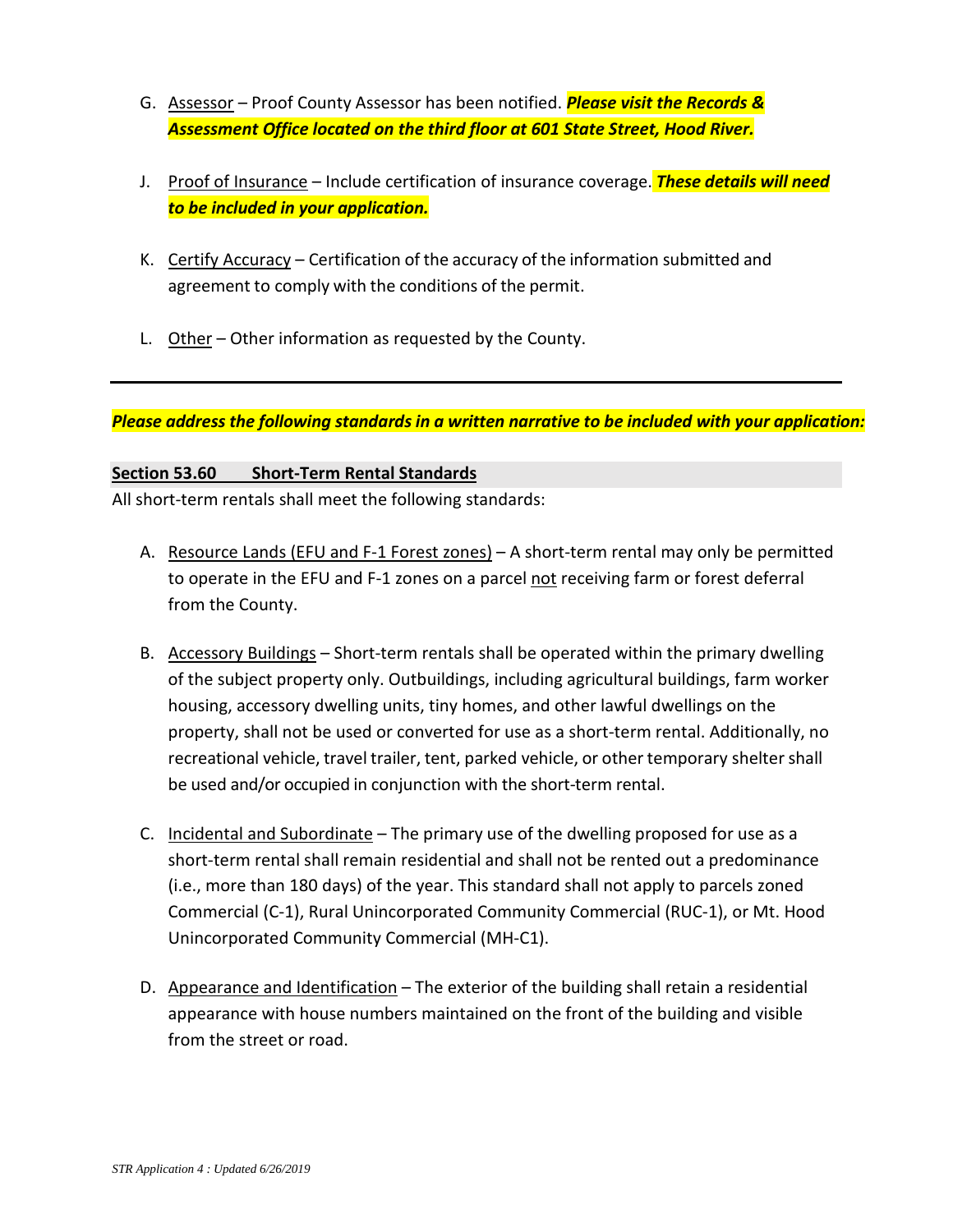- G. Assessor Proof County Assessor has been notified. *Please visit the Records & Assessment Office located on the third floor at 601 State Street, Hood River.*
- J. Proof of Insurance Include certification of insurance coverage. *These details will need to be included in your application.*
- K. Certify Accuracy Certification of the accuracy of the information submitted and agreement to comply with the conditions of the permit.
- L. Other Other information as requested by the County.

*Please address the following standards in a written narrative to be included with your application:*

#### **Section 53.60 Short-Term Rental Standards**

All short-term rentals shall meet the following standards:

- A. Resource Lands (EFU and F-1 Forest zones) A short-term rental may only be permitted to operate in the EFU and F-1 zones on a parcel not receiving farm or forest deferral from the County.
- B. Accessory Buildings Short-term rentals shall be operated within the primary dwelling of the subject property only. Outbuildings, including agricultural buildings, farm worker housing, accessory dwelling units, tiny homes, and other lawful dwellings on the property, shall not be used or converted for use as a short-term rental. Additionally, no recreational vehicle, travel trailer, tent, parked vehicle, or other temporary sheltershall be used and/or occupied in conjunction with the short-term rental.
- C. Incidental and Subordinate The primary use of the dwelling proposed for use as a short-term rental shall remain residential and shall not be rented out a predominance (i.e., more than 180 days) of the year. This standard shall not apply to parcels zoned Commercial (C-1), Rural Unincorporated Community Commercial (RUC-1), or Mt. Hood Unincorporated Community Commercial (MH-C1).
- D. Appearance and Identification The exterior of the building shall retain a residential appearance with house numbers maintained on the front of the building and visible from the street or road.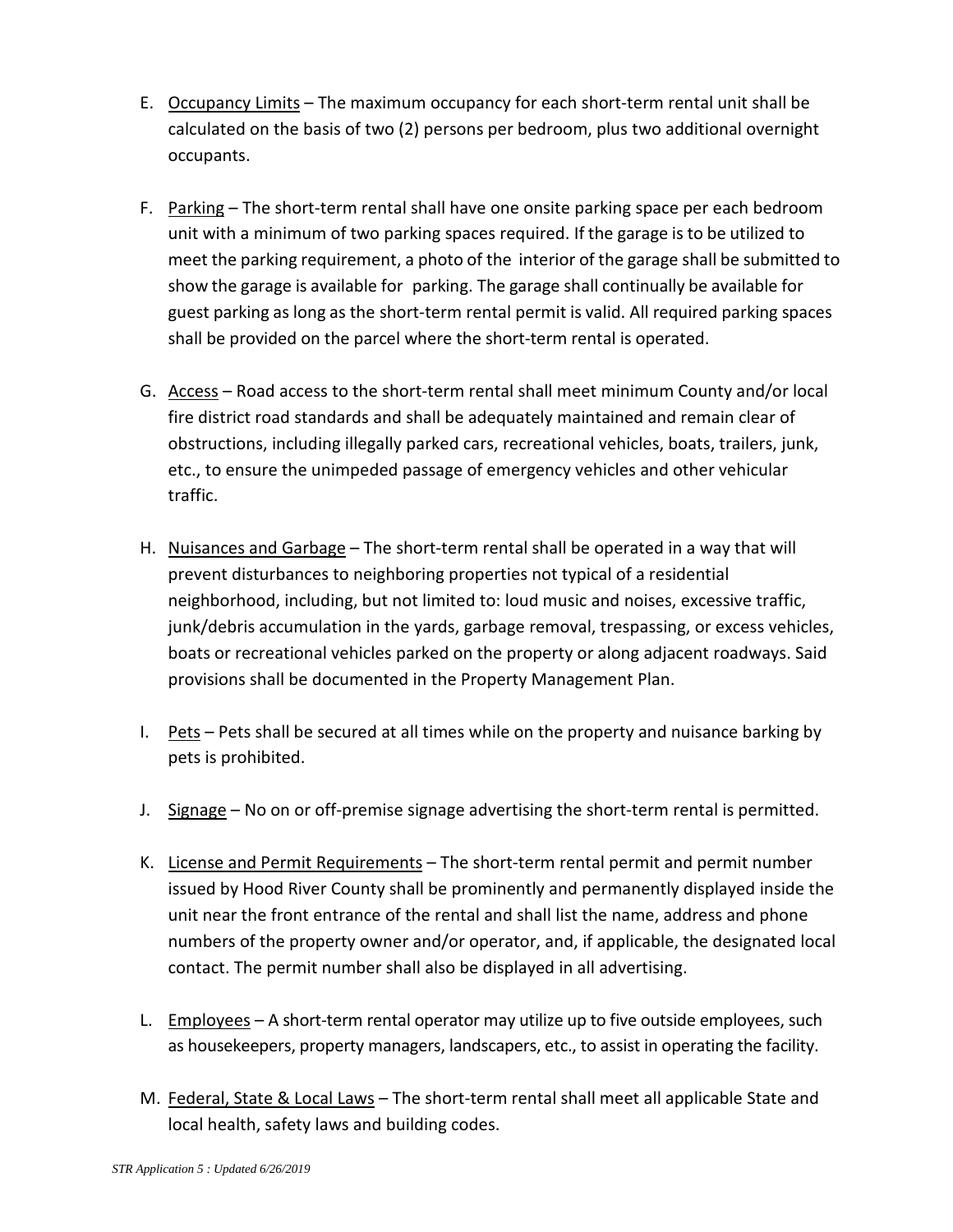- E. Occupancy Limits The maximum occupancy for each short-term rental unit shall be calculated on the basis of two (2) persons per bedroom, plus two additional overnight occupants.
- F. Parking The short-term rental shall have one onsite parking space per each bedroom unit with a minimum of two parking spaces required. If the garage is to be utilized to meet the parking requirement, a photo of the interior of the garage shall be submitted to show the garage is available for parking. The garage shall continually be available for guest parking as long as the short-term rental permit is valid. All required parking spaces shall be provided on the parcel where the short-term rental is operated.
- G. Access Road access to the short-term rental shall meet minimum County and/or local fire district road standards and shall be adequately maintained and remain clear of obstructions, including illegally parked cars, recreational vehicles, boats, trailers, junk, etc., to ensure the unimpeded passage of emergency vehicles and other vehicular traffic.
- H. Nuisances and Garbage The short-term rental shall be operated in a way that will prevent disturbances to neighboring properties not typical of a residential neighborhood, including, but not limited to: loud music and noises, excessive traffic, junk/debris accumulation in the yards, garbage removal, trespassing, or excess vehicles, boats or recreational vehicles parked on the property or along adjacent roadways. Said provisions shall be documented in the Property Management Plan.
- I. Pets Pets shall be secured at all times while on the property and nuisance barking by pets is prohibited.
- J. Signage  $-$  No on or off-premise signage advertising the short-term rental is permitted.
- K. License and Permit Requirements The short-term rental permit and permit number issued by Hood River County shall be prominently and permanently displayed inside the unit near the front entrance of the rental and shall list the name, address and phone numbers of the property owner and/or operator, and, if applicable, the designated local contact. The permit number shall also be displayed in all advertising.
- L. Employees A short-term rental operator may utilize up to five outside employees, such as housekeepers, property managers, landscapers, etc., to assist in operating the facility.
- M. Federal, State & Local Laws The short-term rental shall meet all applicable State and local health, safety laws and building codes.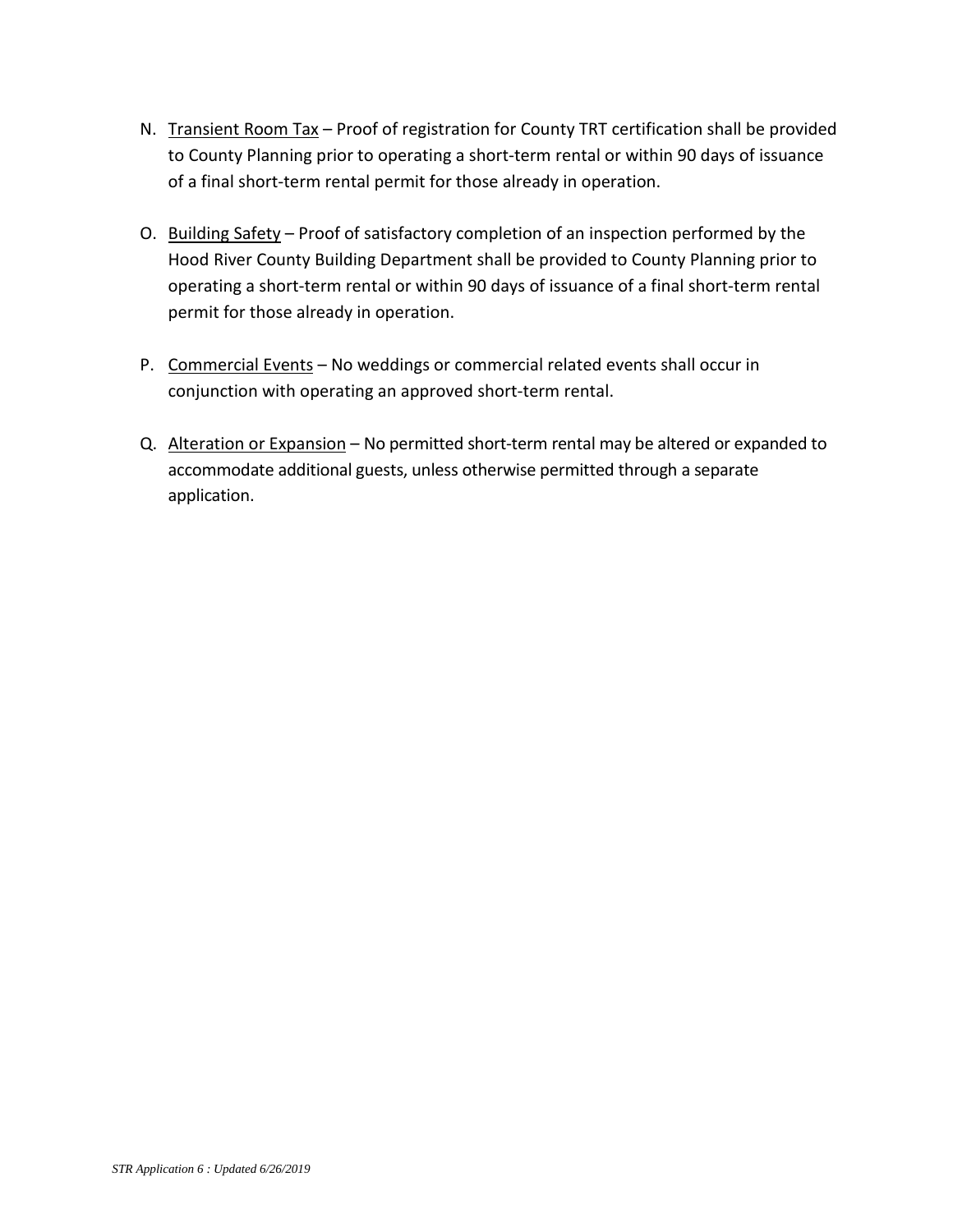- N. Transient Room Tax Proof of registration for County TRT certification shall be provided to County Planning prior to operating a short-term rental or within 90 days of issuance of a final short-term rental permit for those already in operation.
- O. Building Safety Proof of satisfactory completion of an inspection performed by the Hood River County Building Department shall be provided to County Planning prior to operating a short-term rental or within 90 days of issuance of a final short-term rental permit for those already in operation.
- P. Commercial Events No weddings or commercial related events shall occur in conjunction with operating an approved short-term rental.
- Q. Alteration or Expansion No permitted short-term rental may be altered or expanded to accommodate additional guests, unless otherwise permitted through a separate application.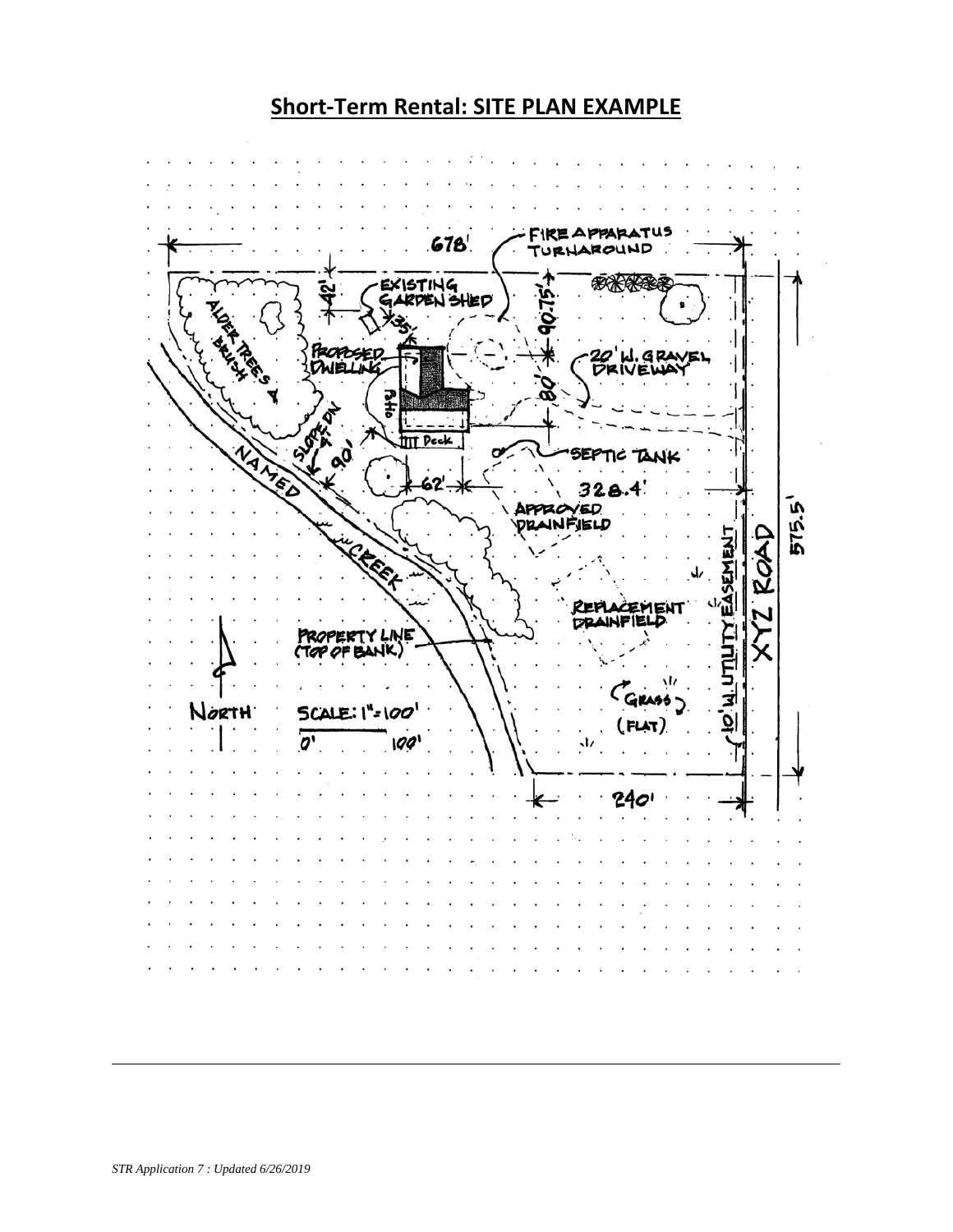# **Short-Term Rental: SITE PLAN EXAMPLE**

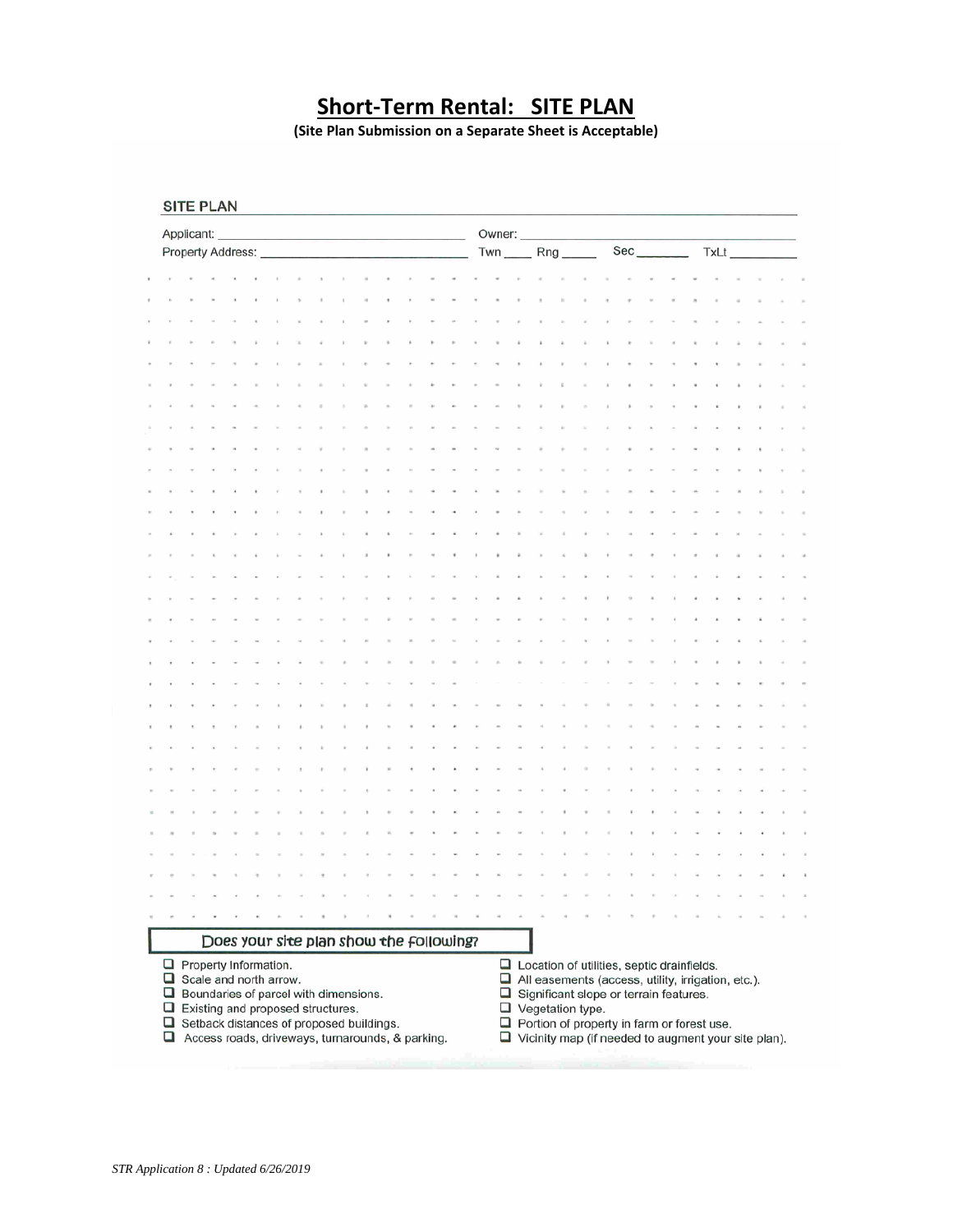# **Short-Term Rental: SITE PLAN**

**(Site Plan Submission on a Separate Sheet is Acceptable)**

| SITE PLAN |  |  |  |
|-----------|--|--|--|
|-----------|--|--|--|

|                                                                                                                                                                                                                                                                  | Applicant: |  |  |  |  |  |  |  |                    |  |  | Owner: |                                                                                                                                                                                                                                                                                                        |  |  |  |  |      |  |  |  |  |  |  |  |
|------------------------------------------------------------------------------------------------------------------------------------------------------------------------------------------------------------------------------------------------------------------|------------|--|--|--|--|--|--|--|--------------------|--|--|--------|--------------------------------------------------------------------------------------------------------------------------------------------------------------------------------------------------------------------------------------------------------------------------------------------------------|--|--|--|--|------|--|--|--|--|--|--|--|
| Property Address:                                                                                                                                                                                                                                                |            |  |  |  |  |  |  |  | $Rng$ <sub>—</sub> |  |  |        | $Sec$ <sub>____</sub>                                                                                                                                                                                                                                                                                  |  |  |  |  | TxLt |  |  |  |  |  |  |  |
|                                                                                                                                                                                                                                                                  |            |  |  |  |  |  |  |  |                    |  |  |        |                                                                                                                                                                                                                                                                                                        |  |  |  |  |      |  |  |  |  |  |  |  |
|                                                                                                                                                                                                                                                                  |            |  |  |  |  |  |  |  |                    |  |  |        |                                                                                                                                                                                                                                                                                                        |  |  |  |  |      |  |  |  |  |  |  |  |
|                                                                                                                                                                                                                                                                  |            |  |  |  |  |  |  |  |                    |  |  |        |                                                                                                                                                                                                                                                                                                        |  |  |  |  |      |  |  |  |  |  |  |  |
|                                                                                                                                                                                                                                                                  |            |  |  |  |  |  |  |  |                    |  |  |        |                                                                                                                                                                                                                                                                                                        |  |  |  |  |      |  |  |  |  |  |  |  |
|                                                                                                                                                                                                                                                                  |            |  |  |  |  |  |  |  |                    |  |  |        |                                                                                                                                                                                                                                                                                                        |  |  |  |  |      |  |  |  |  |  |  |  |
|                                                                                                                                                                                                                                                                  |            |  |  |  |  |  |  |  |                    |  |  |        |                                                                                                                                                                                                                                                                                                        |  |  |  |  |      |  |  |  |  |  |  |  |
|                                                                                                                                                                                                                                                                  |            |  |  |  |  |  |  |  |                    |  |  |        |                                                                                                                                                                                                                                                                                                        |  |  |  |  |      |  |  |  |  |  |  |  |
|                                                                                                                                                                                                                                                                  |            |  |  |  |  |  |  |  |                    |  |  |        |                                                                                                                                                                                                                                                                                                        |  |  |  |  |      |  |  |  |  |  |  |  |
|                                                                                                                                                                                                                                                                  |            |  |  |  |  |  |  |  |                    |  |  |        |                                                                                                                                                                                                                                                                                                        |  |  |  |  |      |  |  |  |  |  |  |  |
|                                                                                                                                                                                                                                                                  |            |  |  |  |  |  |  |  |                    |  |  |        |                                                                                                                                                                                                                                                                                                        |  |  |  |  |      |  |  |  |  |  |  |  |
|                                                                                                                                                                                                                                                                  |            |  |  |  |  |  |  |  |                    |  |  |        |                                                                                                                                                                                                                                                                                                        |  |  |  |  |      |  |  |  |  |  |  |  |
|                                                                                                                                                                                                                                                                  |            |  |  |  |  |  |  |  |                    |  |  |        |                                                                                                                                                                                                                                                                                                        |  |  |  |  |      |  |  |  |  |  |  |  |
|                                                                                                                                                                                                                                                                  |            |  |  |  |  |  |  |  |                    |  |  |        |                                                                                                                                                                                                                                                                                                        |  |  |  |  |      |  |  |  |  |  |  |  |
|                                                                                                                                                                                                                                                                  |            |  |  |  |  |  |  |  |                    |  |  |        |                                                                                                                                                                                                                                                                                                        |  |  |  |  |      |  |  |  |  |  |  |  |
|                                                                                                                                                                                                                                                                  |            |  |  |  |  |  |  |  |                    |  |  |        |                                                                                                                                                                                                                                                                                                        |  |  |  |  |      |  |  |  |  |  |  |  |
|                                                                                                                                                                                                                                                                  |            |  |  |  |  |  |  |  |                    |  |  |        |                                                                                                                                                                                                                                                                                                        |  |  |  |  |      |  |  |  |  |  |  |  |
|                                                                                                                                                                                                                                                                  |            |  |  |  |  |  |  |  |                    |  |  |        |                                                                                                                                                                                                                                                                                                        |  |  |  |  |      |  |  |  |  |  |  |  |
|                                                                                                                                                                                                                                                                  |            |  |  |  |  |  |  |  |                    |  |  |        |                                                                                                                                                                                                                                                                                                        |  |  |  |  |      |  |  |  |  |  |  |  |
|                                                                                                                                                                                                                                                                  |            |  |  |  |  |  |  |  |                    |  |  |        |                                                                                                                                                                                                                                                                                                        |  |  |  |  |      |  |  |  |  |  |  |  |
|                                                                                                                                                                                                                                                                  |            |  |  |  |  |  |  |  |                    |  |  |        |                                                                                                                                                                                                                                                                                                        |  |  |  |  |      |  |  |  |  |  |  |  |
|                                                                                                                                                                                                                                                                  |            |  |  |  |  |  |  |  |                    |  |  |        |                                                                                                                                                                                                                                                                                                        |  |  |  |  |      |  |  |  |  |  |  |  |
|                                                                                                                                                                                                                                                                  |            |  |  |  |  |  |  |  |                    |  |  |        |                                                                                                                                                                                                                                                                                                        |  |  |  |  |      |  |  |  |  |  |  |  |
|                                                                                                                                                                                                                                                                  |            |  |  |  |  |  |  |  |                    |  |  |        |                                                                                                                                                                                                                                                                                                        |  |  |  |  |      |  |  |  |  |  |  |  |
|                                                                                                                                                                                                                                                                  |            |  |  |  |  |  |  |  |                    |  |  |        |                                                                                                                                                                                                                                                                                                        |  |  |  |  |      |  |  |  |  |  |  |  |
|                                                                                                                                                                                                                                                                  |            |  |  |  |  |  |  |  |                    |  |  |        |                                                                                                                                                                                                                                                                                                        |  |  |  |  |      |  |  |  |  |  |  |  |
|                                                                                                                                                                                                                                                                  |            |  |  |  |  |  |  |  |                    |  |  |        |                                                                                                                                                                                                                                                                                                        |  |  |  |  |      |  |  |  |  |  |  |  |
|                                                                                                                                                                                                                                                                  |            |  |  |  |  |  |  |  |                    |  |  |        |                                                                                                                                                                                                                                                                                                        |  |  |  |  |      |  |  |  |  |  |  |  |
|                                                                                                                                                                                                                                                                  |            |  |  |  |  |  |  |  |                    |  |  |        |                                                                                                                                                                                                                                                                                                        |  |  |  |  |      |  |  |  |  |  |  |  |
|                                                                                                                                                                                                                                                                  |            |  |  |  |  |  |  |  |                    |  |  |        |                                                                                                                                                                                                                                                                                                        |  |  |  |  |      |  |  |  |  |  |  |  |
|                                                                                                                                                                                                                                                                  |            |  |  |  |  |  |  |  |                    |  |  |        |                                                                                                                                                                                                                                                                                                        |  |  |  |  |      |  |  |  |  |  |  |  |
| Does your site plan show the following?                                                                                                                                                                                                                          |            |  |  |  |  |  |  |  |                    |  |  |        |                                                                                                                                                                                                                                                                                                        |  |  |  |  |      |  |  |  |  |  |  |  |
| $\Box$ Property Information.<br>$\Box$ Scale and north arrow.<br>$\Box$ Boundaries of parcel with dimensions.<br>$\Box$ Existing and proposed structures.<br>$\Box$ Setback distances of proposed buildings.<br>Access roads, driveways, turnarounds, & parking. |            |  |  |  |  |  |  |  |                    |  |  |        | $\Box$ Location of utilities, septic drainfields.<br>$\Box$ All easements (access, utility, irrigation, etc.).<br>Significant slope or terrain features.<br>$\Box$ Vegetation type.<br>$\Box$ Portion of property in farm or forest use.<br>$\Box$ Vicinity map (if needed to augment your site plan). |  |  |  |  |      |  |  |  |  |  |  |  |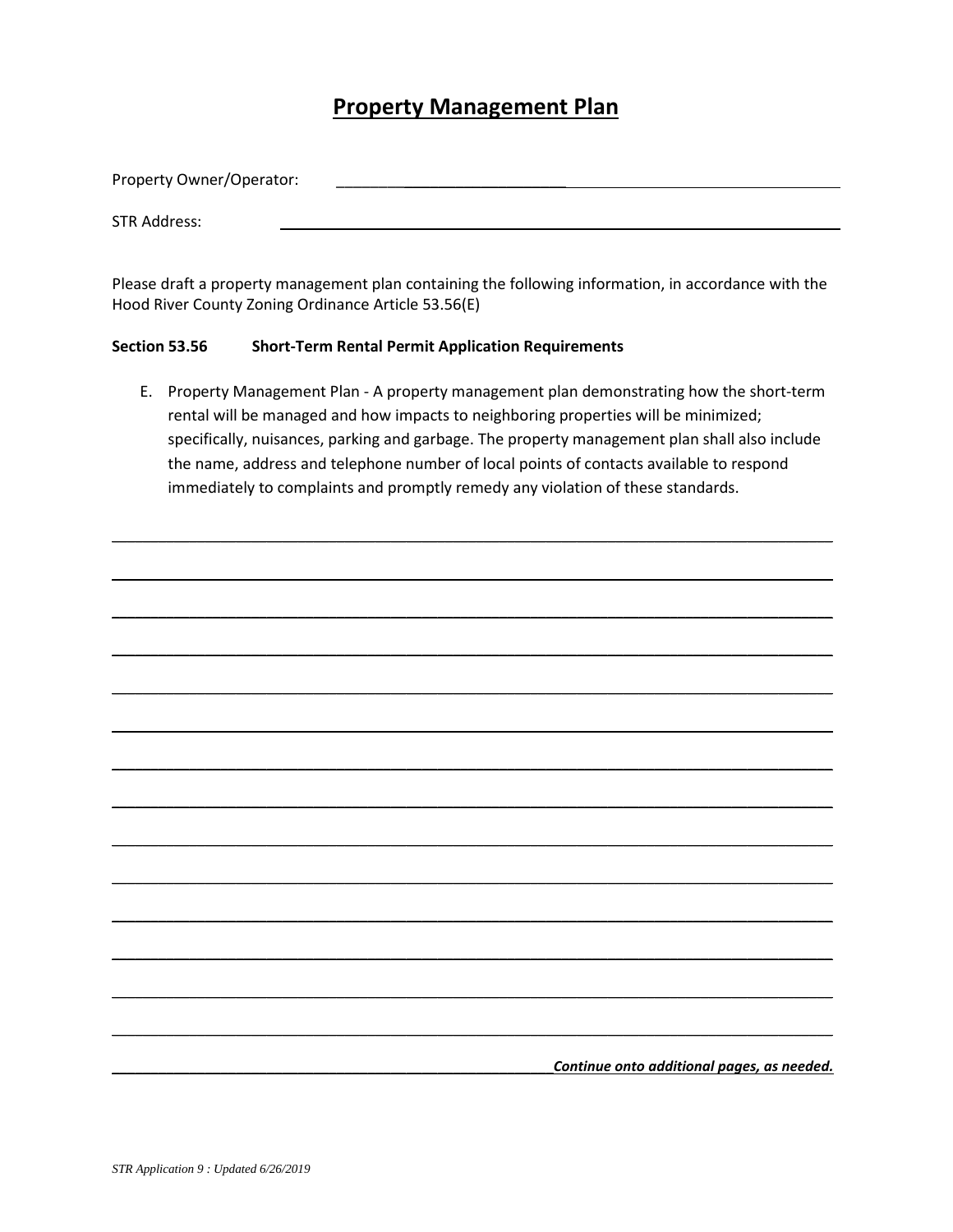#### **Property Management Plan**

| Property Owner/Operator: |  |  |  |
|--------------------------|--|--|--|
|                          |  |  |  |
| <b>STR Address:</b>      |  |  |  |

Please draft a property management plan containing the following information, in accordance with the Hood River County Zoning Ordinance Article 53.56(E)

#### **Section 53.56 Short-Term Rental Permit Application Requirements**

E. Property Management Plan - A property management plan demonstrating how the short-term rental will be managed and how impacts to neighboring properties will be minimized; specifically, nuisances, parking and garbage. The property management plan shall also include the name, address and telephone number of local points of contacts available to respond immediately to complaints and promptly remedy any violation of these standards.

 $\mathcal{L}_\mathcal{L} = \{ \mathcal{L}_\mathcal{L} = \{ \mathcal{L}_\mathcal{L} = \{ \mathcal{L}_\mathcal{L} = \{ \mathcal{L}_\mathcal{L} = \{ \mathcal{L}_\mathcal{L} = \{ \mathcal{L}_\mathcal{L} = \{ \mathcal{L}_\mathcal{L} = \{ \mathcal{L}_\mathcal{L} = \{ \mathcal{L}_\mathcal{L} = \{ \mathcal{L}_\mathcal{L} = \{ \mathcal{L}_\mathcal{L} = \{ \mathcal{L}_\mathcal{L} = \{ \mathcal{L}_\mathcal{L} = \{ \mathcal{L}_\mathcal{$ 

 $\mathcal{L}_\mathcal{L} = \{ \mathcal{L}_\mathcal{L} = \{ \mathcal{L}_\mathcal{L} = \{ \mathcal{L}_\mathcal{L} = \{ \mathcal{L}_\mathcal{L} = \{ \mathcal{L}_\mathcal{L} = \{ \mathcal{L}_\mathcal{L} = \{ \mathcal{L}_\mathcal{L} = \{ \mathcal{L}_\mathcal{L} = \{ \mathcal{L}_\mathcal{L} = \{ \mathcal{L}_\mathcal{L} = \{ \mathcal{L}_\mathcal{L} = \{ \mathcal{L}_\mathcal{L} = \{ \mathcal{L}_\mathcal{L} = \{ \mathcal{L}_\mathcal{$ 

 $\mathcal{L}_\mathcal{L} = \{ \mathcal{L}_\mathcal{L} = \{ \mathcal{L}_\mathcal{L} = \{ \mathcal{L}_\mathcal{L} = \{ \mathcal{L}_\mathcal{L} = \{ \mathcal{L}_\mathcal{L} = \{ \mathcal{L}_\mathcal{L} = \{ \mathcal{L}_\mathcal{L} = \{ \mathcal{L}_\mathcal{L} = \{ \mathcal{L}_\mathcal{L} = \{ \mathcal{L}_\mathcal{L} = \{ \mathcal{L}_\mathcal{L} = \{ \mathcal{L}_\mathcal{L} = \{ \mathcal{L}_\mathcal{L} = \{ \mathcal{L}_\mathcal{$ 

\_\_\_\_\_\_\_\_\_\_\_\_\_\_\_\_\_\_\_\_\_\_\_\_\_\_\_\_\_\_\_\_\_\_\_\_\_\_\_\_\_\_\_\_\_\_\_\_\_\_\_\_\_\_\_\_\_\_\_\_\_\_\_\_\_\_\_\_\_\_\_\_\_\_\_\_\_\_\_\_\_\_\_\_\_\_\_\_\_\_\_\_\_

\_\_\_\_\_\_\_\_\_\_\_\_\_\_\_\_\_\_\_\_\_\_\_\_\_\_\_\_\_\_\_\_\_\_\_\_\_\_\_\_\_\_\_\_\_\_\_\_\_\_\_\_\_\_\_\_\_\_\_\_\_\_\_\_\_\_\_\_\_\_\_\_\_\_\_\_\_\_\_\_\_\_\_\_\_\_\_\_\_\_\_\_\_

 $\mathcal{L}_\mathcal{L} = \{ \mathcal{L}_\mathcal{L} = \{ \mathcal{L}_\mathcal{L} = \{ \mathcal{L}_\mathcal{L} = \{ \mathcal{L}_\mathcal{L} = \{ \mathcal{L}_\mathcal{L} = \{ \mathcal{L}_\mathcal{L} = \{ \mathcal{L}_\mathcal{L} = \{ \mathcal{L}_\mathcal{L} = \{ \mathcal{L}_\mathcal{L} = \{ \mathcal{L}_\mathcal{L} = \{ \mathcal{L}_\mathcal{L} = \{ \mathcal{L}_\mathcal{L} = \{ \mathcal{L}_\mathcal{L} = \{ \mathcal{L}_\mathcal{$ 

 $\mathcal{L}_\mathcal{L} = \{ \mathcal{L}_\mathcal{L} = \{ \mathcal{L}_\mathcal{L} = \{ \mathcal{L}_\mathcal{L} = \{ \mathcal{L}_\mathcal{L} = \{ \mathcal{L}_\mathcal{L} = \{ \mathcal{L}_\mathcal{L} = \{ \mathcal{L}_\mathcal{L} = \{ \mathcal{L}_\mathcal{L} = \{ \mathcal{L}_\mathcal{L} = \{ \mathcal{L}_\mathcal{L} = \{ \mathcal{L}_\mathcal{L} = \{ \mathcal{L}_\mathcal{L} = \{ \mathcal{L}_\mathcal{L} = \{ \mathcal{L}_\mathcal{$ 

 $\mathcal{L}_\mathcal{L} = \{ \mathcal{L}_\mathcal{L} = \{ \mathcal{L}_\mathcal{L} = \{ \mathcal{L}_\mathcal{L} = \{ \mathcal{L}_\mathcal{L} = \{ \mathcal{L}_\mathcal{L} = \{ \mathcal{L}_\mathcal{L} = \{ \mathcal{L}_\mathcal{L} = \{ \mathcal{L}_\mathcal{L} = \{ \mathcal{L}_\mathcal{L} = \{ \mathcal{L}_\mathcal{L} = \{ \mathcal{L}_\mathcal{L} = \{ \mathcal{L}_\mathcal{L} = \{ \mathcal{L}_\mathcal{L} = \{ \mathcal{L}_\mathcal{$ 

 $\mathcal{L}_\mathcal{L} = \{ \mathcal{L}_\mathcal{L} = \{ \mathcal{L}_\mathcal{L} = \{ \mathcal{L}_\mathcal{L} = \{ \mathcal{L}_\mathcal{L} = \{ \mathcal{L}_\mathcal{L} = \{ \mathcal{L}_\mathcal{L} = \{ \mathcal{L}_\mathcal{L} = \{ \mathcal{L}_\mathcal{L} = \{ \mathcal{L}_\mathcal{L} = \{ \mathcal{L}_\mathcal{L} = \{ \mathcal{L}_\mathcal{L} = \{ \mathcal{L}_\mathcal{L} = \{ \mathcal{L}_\mathcal{L} = \{ \mathcal{L}_\mathcal{$ 

 $\mathcal{L}_\mathcal{L} = \{ \mathcal{L}_\mathcal{L} = \{ \mathcal{L}_\mathcal{L} = \{ \mathcal{L}_\mathcal{L} = \{ \mathcal{L}_\mathcal{L} = \{ \mathcal{L}_\mathcal{L} = \{ \mathcal{L}_\mathcal{L} = \{ \mathcal{L}_\mathcal{L} = \{ \mathcal{L}_\mathcal{L} = \{ \mathcal{L}_\mathcal{L} = \{ \mathcal{L}_\mathcal{L} = \{ \mathcal{L}_\mathcal{L} = \{ \mathcal{L}_\mathcal{L} = \{ \mathcal{L}_\mathcal{L} = \{ \mathcal{L}_\mathcal{$ 

 $\mathcal{L}_\mathcal{L} = \{ \mathcal{L}_\mathcal{L} = \{ \mathcal{L}_\mathcal{L} = \{ \mathcal{L}_\mathcal{L} = \{ \mathcal{L}_\mathcal{L} = \{ \mathcal{L}_\mathcal{L} = \{ \mathcal{L}_\mathcal{L} = \{ \mathcal{L}_\mathcal{L} = \{ \mathcal{L}_\mathcal{L} = \{ \mathcal{L}_\mathcal{L} = \{ \mathcal{L}_\mathcal{L} = \{ \mathcal{L}_\mathcal{L} = \{ \mathcal{L}_\mathcal{L} = \{ \mathcal{L}_\mathcal{L} = \{ \mathcal{L}_\mathcal{$ 

 $\mathcal{L}_\mathcal{L} = \{ \mathcal{L}_\mathcal{L} = \{ \mathcal{L}_\mathcal{L} = \{ \mathcal{L}_\mathcal{L} = \{ \mathcal{L}_\mathcal{L} = \{ \mathcal{L}_\mathcal{L} = \{ \mathcal{L}_\mathcal{L} = \{ \mathcal{L}_\mathcal{L} = \{ \mathcal{L}_\mathcal{L} = \{ \mathcal{L}_\mathcal{L} = \{ \mathcal{L}_\mathcal{L} = \{ \mathcal{L}_\mathcal{L} = \{ \mathcal{L}_\mathcal{L} = \{ \mathcal{L}_\mathcal{L} = \{ \mathcal{L}_\mathcal{$ 

 $\_$  ,  $\_$  ,  $\_$  ,  $\_$  ,  $\_$  ,  $\_$  ,  $\_$  ,  $\_$  ,  $\_$  ,  $\_$  ,  $\_$  ,  $\_$  ,  $\_$  ,  $\_$  ,  $\_$  ,  $\_$  ,  $\_$  ,  $\_$  ,  $\_$  ,  $\_$  ,  $\_$  ,  $\_$  ,  $\_$  ,  $\_$  ,  $\_$  ,  $\_$  ,  $\_$  ,  $\_$  ,  $\_$  ,  $\_$  ,  $\_$  ,  $\_$  ,  $\_$  ,  $\_$  ,  $\_$  ,  $\_$  ,  $\_$  ,

 $\_$  ,  $\_$  ,  $\_$  ,  $\_$  ,  $\_$  ,  $\_$  ,  $\_$  ,  $\_$  ,  $\_$  ,  $\_$  ,  $\_$  ,  $\_$  ,  $\_$  ,  $\_$  ,  $\_$  ,  $\_$  ,  $\_$  ,  $\_$  ,  $\_$  ,  $\_$  ,  $\_$  ,  $\_$  ,  $\_$  ,  $\_$  ,  $\_$  ,  $\_$  ,  $\_$  ,  $\_$  ,  $\_$  ,  $\_$  ,  $\_$  ,  $\_$  ,  $\_$  ,  $\_$  ,  $\_$  ,  $\_$  ,  $\_$  ,

\_\_\_\_\_\_\_\_\_\_\_\_\_\_\_\_\_\_\_\_\_\_\_\_\_\_\_\_\_\_\_\_\_\_\_\_\_\_\_\_\_\_\_\_\_\_\_\_\_\_\_\_\_\_\_\_\_*Continue onto additional pages, as needed.*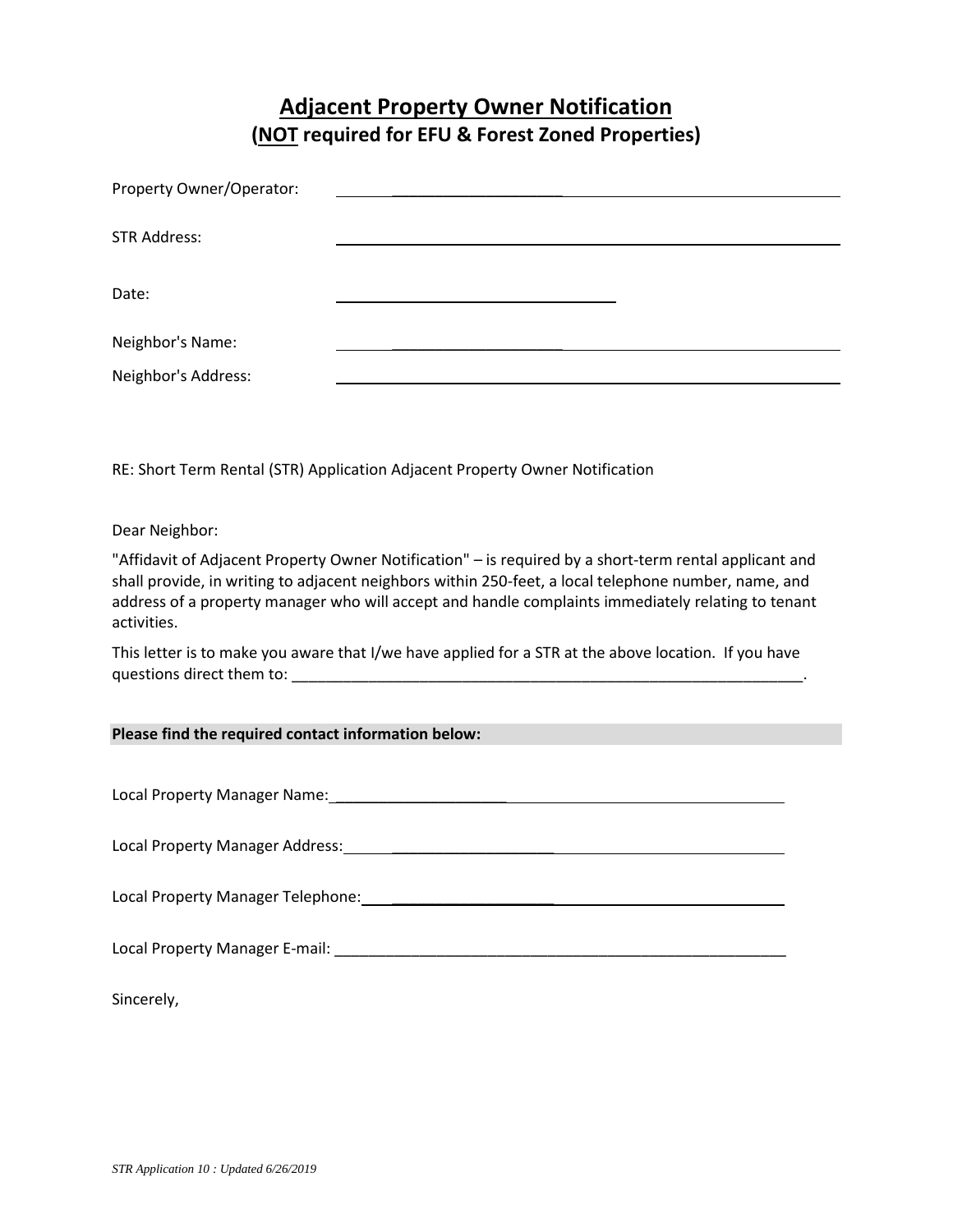### **Adjacent Property Owner Notification (NOT required for EFU & Forest Zoned Properties)**

| Property Owner/Operator: |  |
|--------------------------|--|
|                          |  |
| <b>STR Address:</b>      |  |
|                          |  |
| Date:                    |  |
|                          |  |
| Neighbor's Name:         |  |
| Neighbor's Address:      |  |

RE: Short Term Rental (STR) Application Adjacent Property Owner Notification

Dear Neighbor:

"Affidavit of Adjacent Property Owner Notification" – is required by a short-term rental applicant and shall provide, in writing to adjacent neighbors within 250-feet, a local telephone number, name, and address of a property manager who will accept and handle complaints immediately relating to tenant activities.

This letter is to make you aware that I/we have applied for a STR at the above location. If you have questions direct them to:  $\Box$ 

#### **Please find the required contact information below:**

Local Property Manager Name: \_\_\_\_\_\_\_\_\_\_\_\_\_\_\_\_\_\_\_\_ Local Property Manager Address: \_\_\_\_\_\_\_\_\_\_\_\_\_\_\_\_\_\_\_ Local Property Manager Telephone: \_\_\_\_\_\_\_\_\_\_\_\_\_\_\_\_\_\_\_ Local Property Manager E-mail: \_\_\_\_\_\_\_\_\_\_\_\_\_\_\_\_\_\_\_\_\_\_\_\_\_\_\_\_\_\_\_\_\_\_\_\_\_\_\_\_\_\_\_\_\_\_\_\_\_\_\_\_\_ Sincerely,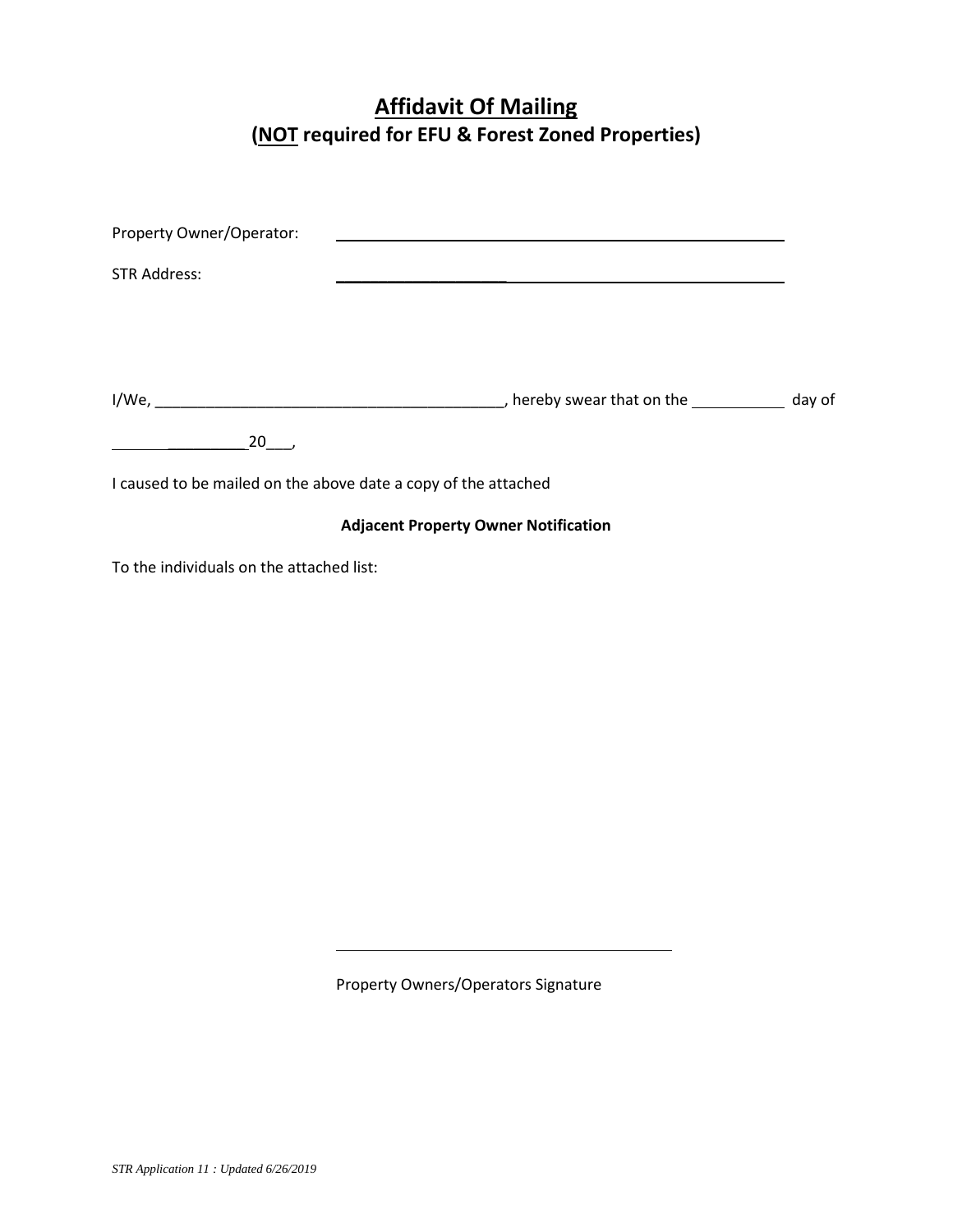# **Affidavit Of Mailing (NOT required for EFU & Forest Zoned Properties)**

| Property Owner/Operator:                                       |                                             |  |
|----------------------------------------------------------------|---------------------------------------------|--|
| <b>STR Address:</b>                                            |                                             |  |
|                                                                |                                             |  |
|                                                                |                                             |  |
|                                                                |                                             |  |
| $20$ ,                                                         |                                             |  |
| I caused to be mailed on the above date a copy of the attached |                                             |  |
|                                                                | <b>Adjacent Property Owner Notification</b> |  |
| To the individuals on the attached list:                       |                                             |  |
|                                                                |                                             |  |

Property Owners/Operators Signature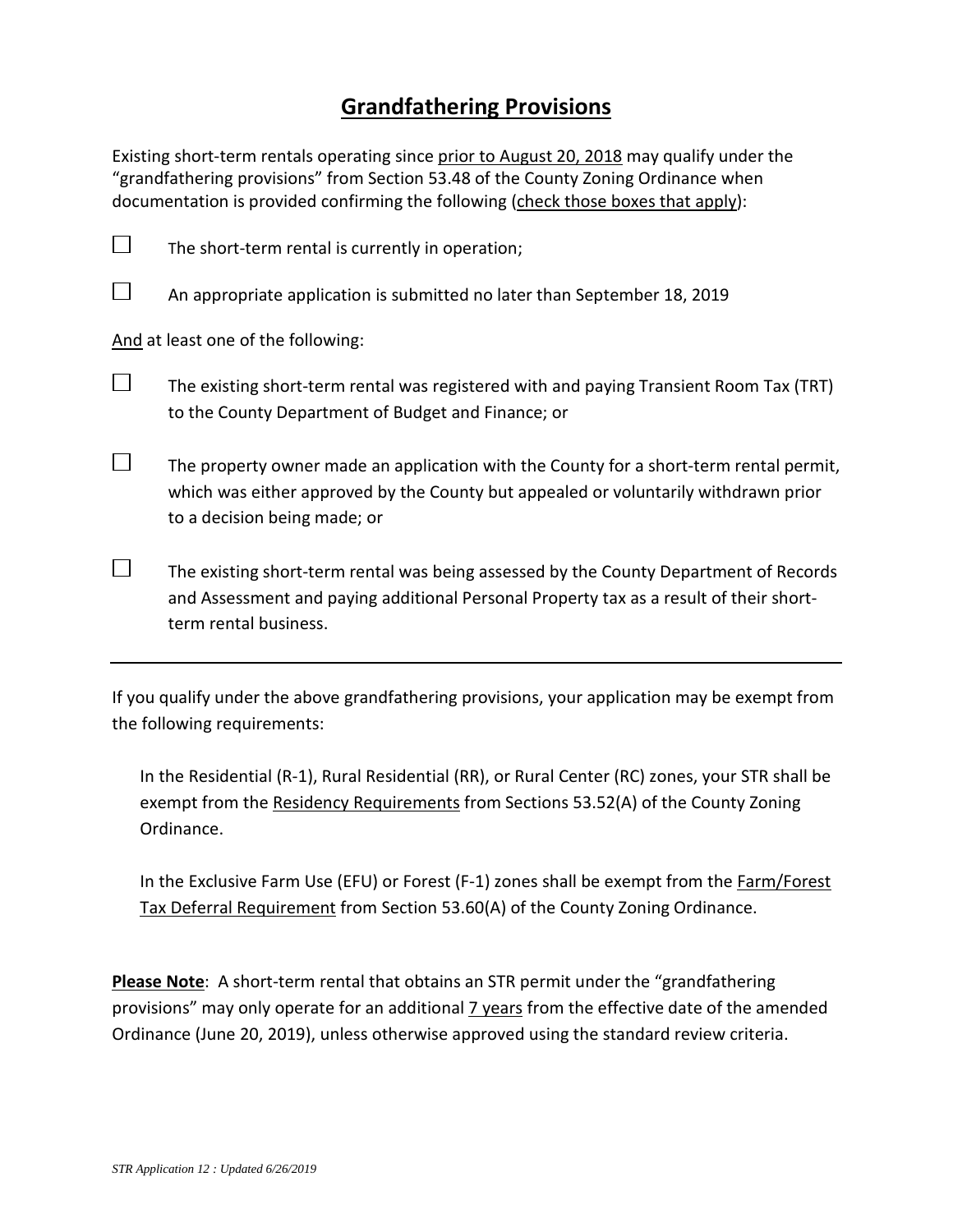### **Grandfathering Provisions**

Existing short-term rentals operating since prior to August 20, 2018 may qualify under the "grandfathering provisions" from Section 53.48 of the County Zoning Ordinance when documentation is provided confirming the following (check those boxes that apply):



 $\Box$  The existing short-term rental was being assessed by the County Department of Records and Assessment and paying additional Personal Property tax as a result of their shortterm rental business.

If you qualify under the above grandfathering provisions, your application may be exempt from the following requirements:

In the Residential (R-1), Rural Residential (RR), or Rural Center (RC) zones, your STR shall be exempt from the Residency Requirements from Sections 53.52(A) of the County Zoning Ordinance.

In the Exclusive Farm Use (EFU) or Forest (F-1) zones shall be exempt from the Farm/Forest Tax Deferral Requirement from Section 53.60(A) of the County Zoning Ordinance.

**Please Note**: A short-term rental that obtains an STR permit under the "grandfathering provisions" may only operate for an additional **7** years from the effective date of the amended Ordinance (June 20, 2019), unless otherwise approved using the standard review criteria.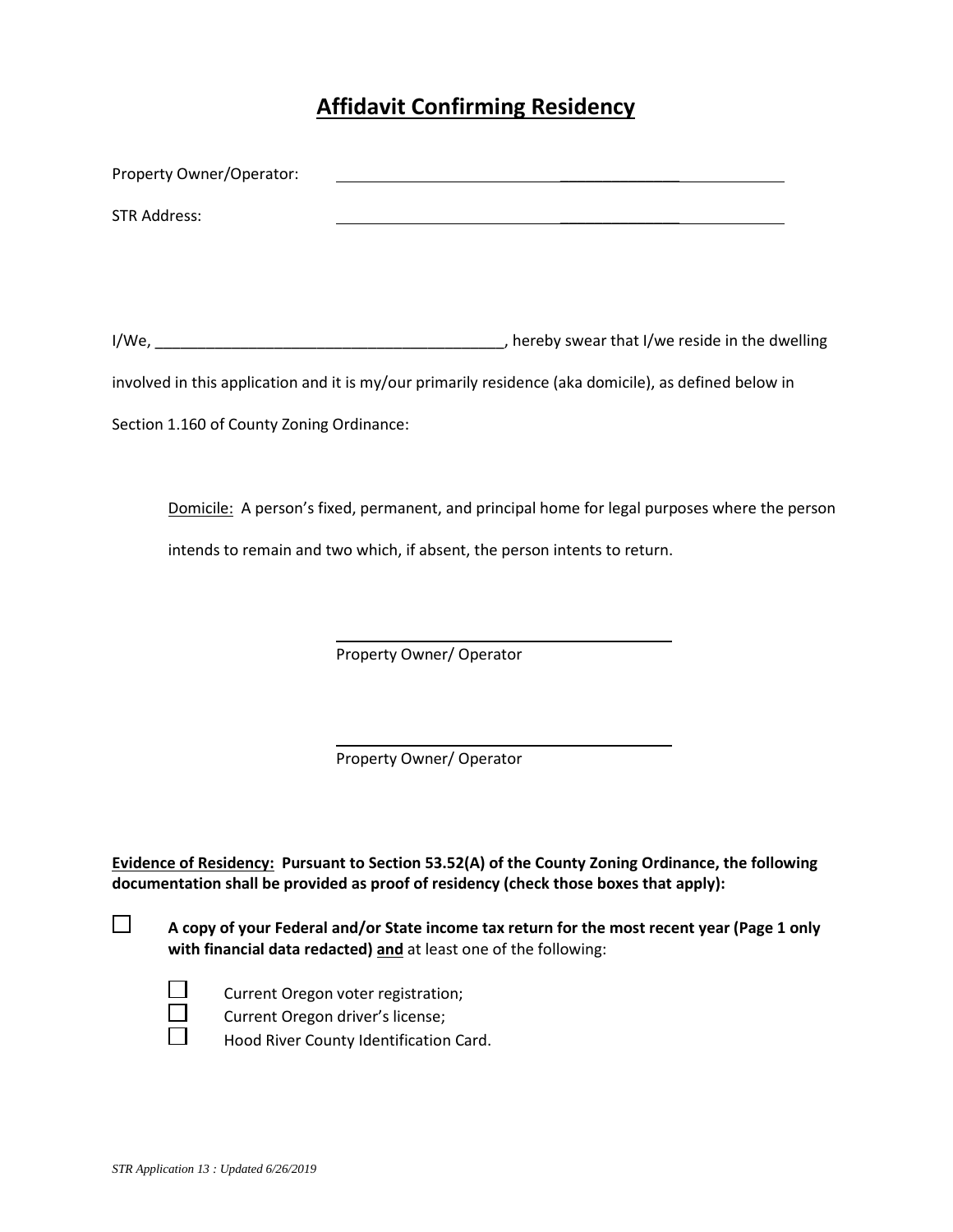# **Affidavit Confirming Residency**

| Property Owner/Operator:                  |                                                                                                       |
|-------------------------------------------|-------------------------------------------------------------------------------------------------------|
| <b>STR Address:</b>                       | <u> 1980 - Jan Barat, martin amerikan ba</u>                                                          |
|                                           |                                                                                                       |
|                                           |                                                                                                       |
|                                           | involved in this application and it is my/our primarily residence (aka domicile), as defined below in |
| Section 1.160 of County Zoning Ordinance: |                                                                                                       |
|                                           |                                                                                                       |
|                                           | Domicile: A person's fixed, permanent, and principal home for legal purposes where the person         |
|                                           |                                                                                                       |
|                                           | intends to remain and two which, if absent, the person intents to return.                             |
|                                           |                                                                                                       |
|                                           |                                                                                                       |
|                                           | Property Owner/ Operator                                                                              |
|                                           |                                                                                                       |
|                                           |                                                                                                       |
|                                           | Property Owner/ Operator                                                                              |
|                                           |                                                                                                       |

**Evidence of Residency: Pursuant to Section 53.52(A) of the County Zoning Ordinance, the following documentation shall be provided as proof of residency (check those boxes that apply):**

 **A copy of your Federal and/or State income tax return for the most recent year (Page 1 only with financial data redacted) and** at least one of the following:

Current Oregon voter registration;

 $\Box$  Current Oregon driver's license;<br> $\Box$  Hood River County Identification

Hood River County Identification Card.